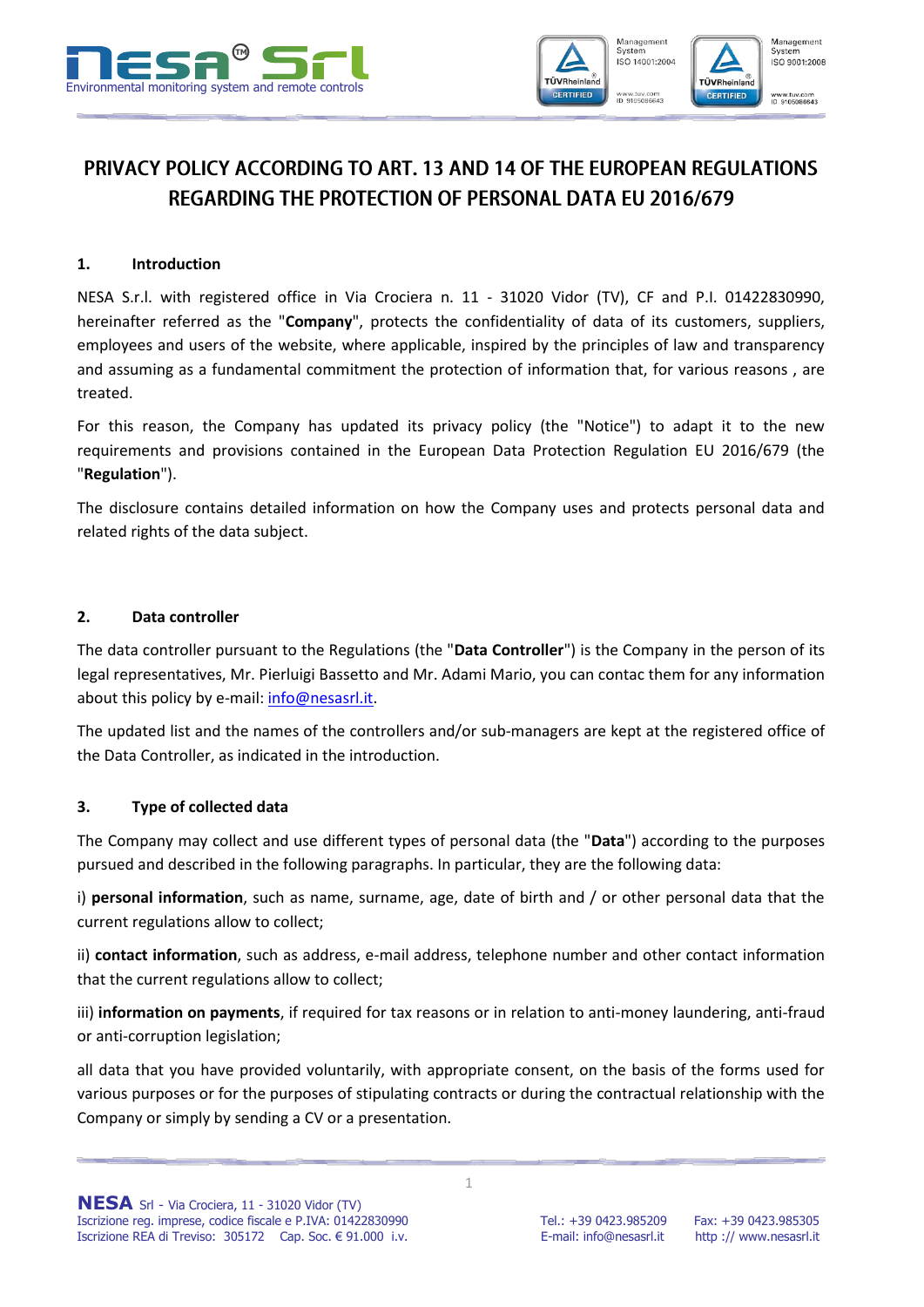



# PRIVACY POLICY ACCORDING TO ART. 13 AND 14 OF THE EUROPEAN REGULATIONS REGARDING THE PROTECTION OF PERSONAL DATA FU 2016/679

## **1. Introduction**

NESA S.r.l. with registered office in Via Crociera n. 11 - 31020 Vidor (TV), CF and P.I. 01422830990, hereinafter referred as the "**Company**", protects the confidentiality of data of its customers, suppliers, employees and users of the website, where applicable, inspired by the principles of law and transparency and assuming as a fundamental commitment the protection of information that, for various reasons , are treated.

For this reason, the Company has updated its privacy policy (the "Notice") to adapt it to the new requirements and provisions contained in the European Data Protection Regulation EU 2016/679 (the "**Regulation**").

The disclosure contains detailed information on how the Company uses and protects personal data and related rights of the data subject.

### **2. Data controller**

The data controller pursuant to the Regulations (the "**Data Controller**") is the Company in the person of its legal representatives, Mr. Pierluigi Bassetto and Mr. Adami Mario, you can contac them for any information about this policy by e-mail[: info@nesasrl.it.](mailto:info@nesasrl.it)

The updated list and the names of the controllers and/or sub-managers are kept at the registered office of the Data Controller, as indicated in the introduction.

# **3. Type of collected data**

The Company may collect and use different types of personal data (the "**Data**") according to the purposes pursued and described in the following paragraphs. In particular, they are the following data:

i) **personal information**, such as name, surname, age, date of birth and / or other personal data that the current regulations allow to collect;

ii) **contact information**, such as address, e-mail address, telephone number and other contact information that the current regulations allow to collect;

iii) **information on payments**, if required for tax reasons or in relation to anti-money laundering, anti-fraud or anti-corruption legislation;

all data that you have provided voluntarily, with appropriate consent, on the basis of the forms used for various purposes or for the purposes of stipulating contracts or during the contractual relationship with the Company or simply by sending a CV or a presentation.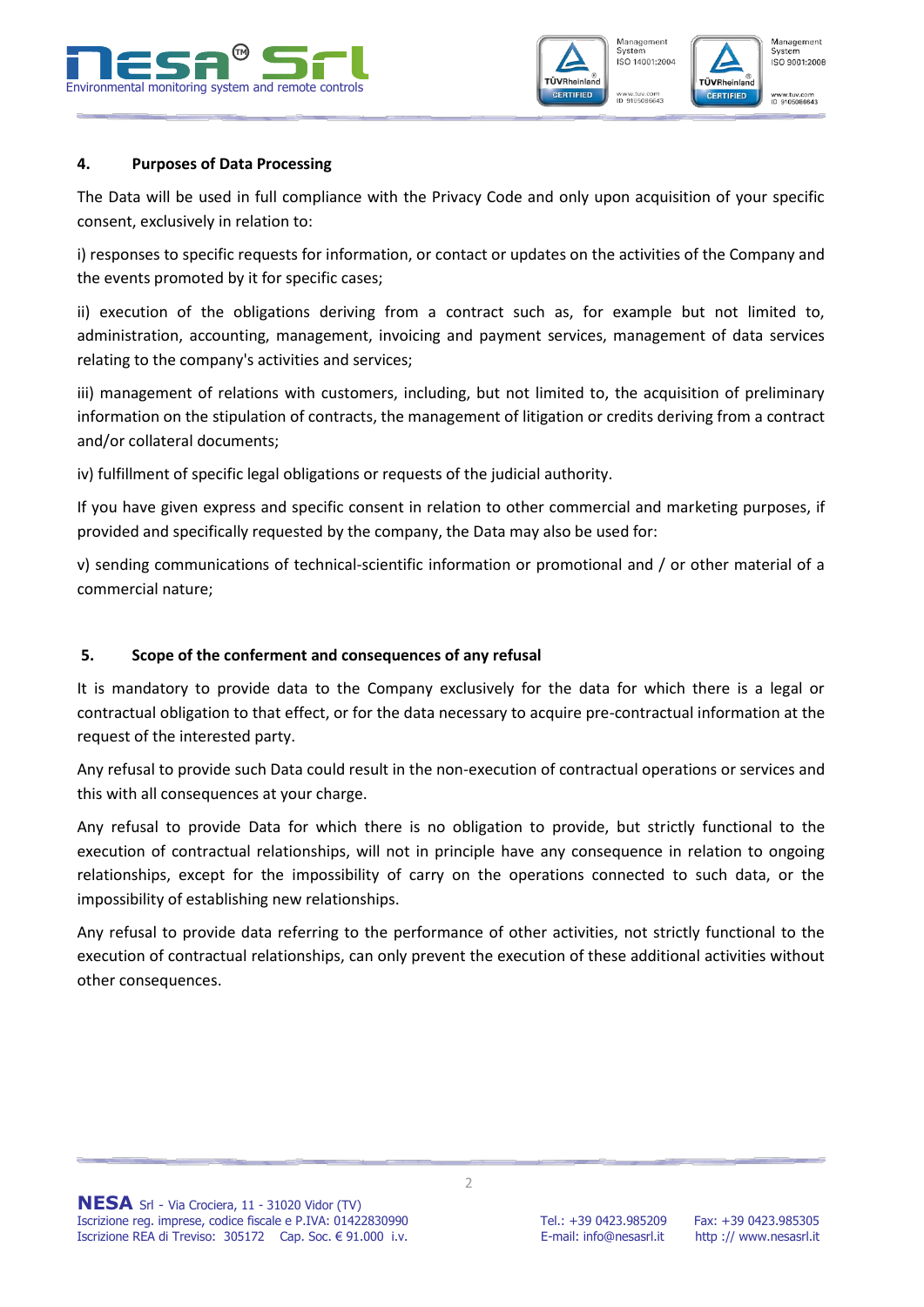





#### **4. Purposes of Data Processing**

The Data will be used in full compliance with the Privacy Code and only upon acquisition of your specific consent, exclusively in relation to:

i) responses to specific requests for information, or contact or updates on the activities of the Company and the events promoted by it for specific cases;

ii) execution of the obligations deriving from a contract such as, for example but not limited to, administration, accounting, management, invoicing and payment services, management of data services relating to the company's activities and services;

iii) management of relations with customers, including, but not limited to, the acquisition of preliminary information on the stipulation of contracts, the management of litigation or credits deriving from a contract and/or collateral documents;

iv) fulfillment of specific legal obligations or requests of the judicial authority.

If you have given express and specific consent in relation to other commercial and marketing purposes, if provided and specifically requested by the company, the Data may also be used for:

v) sending communications of technical-scientific information or promotional and / or other material of a commercial nature;

#### **5. Scope of the conferment and consequences of any refusal**

It is mandatory to provide data to the Company exclusively for the data for which there is a legal or contractual obligation to that effect, or for the data necessary to acquire pre-contractual information at the request of the interested party.

Any refusal to provide such Data could result in the non-execution of contractual operations or services and this with all consequences at your charge.

Any refusal to provide Data for which there is no obligation to provide, but strictly functional to the execution of contractual relationships, will not in principle have any consequence in relation to ongoing relationships, except for the impossibility of carry on the operations connected to such data, or the impossibility of establishing new relationships.

Any refusal to provide data referring to the performance of other activities, not strictly functional to the execution of contractual relationships, can only prevent the execution of these additional activities without other consequences.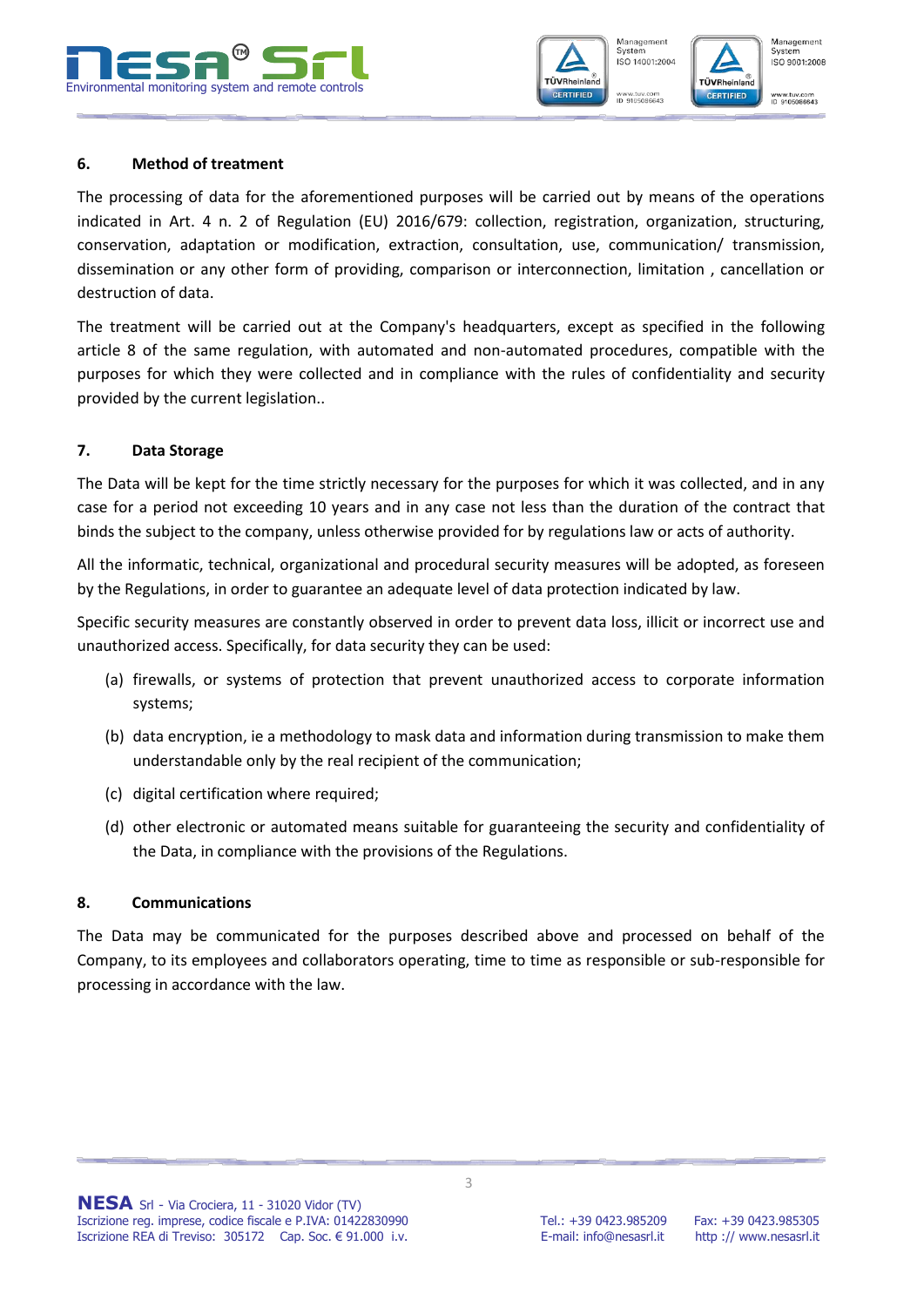





#### **6. Method of treatment**

The processing of data for the aforementioned purposes will be carried out by means of the operations indicated in Art. 4 n. 2 of Regulation (EU) 2016/679: collection, registration, organization, structuring, conservation, adaptation or modification, extraction, consultation, use, communication/ transmission, dissemination or any other form of providing, comparison or interconnection, limitation , cancellation or destruction of data.

The treatment will be carried out at the Company's headquarters, except as specified in the following article 8 of the same regulation, with automated and non-automated procedures, compatible with the purposes for which they were collected and in compliance with the rules of confidentiality and security provided by the current legislation..

#### **7. Data Storage**

The Data will be kept for the time strictly necessary for the purposes for which it was collected, and in any case for a period not exceeding 10 years and in any case not less than the duration of the contract that binds the subject to the company, unless otherwise provided for by regulations law or acts of authority.

All the informatic, technical, organizational and procedural security measures will be adopted, as foreseen by the Regulations, in order to guarantee an adequate level of data protection indicated by law.

Specific security measures are constantly observed in order to prevent data loss, illicit or incorrect use and unauthorized access. Specifically, for data security they can be used:

- (a) firewalls, or systems of protection that prevent unauthorized access to corporate information systems;
- (b) data encryption, ie a methodology to mask data and information during transmission to make them understandable only by the real recipient of the communication;
- (c) digital certification where required;
- (d) other electronic or automated means suitable for guaranteeing the security and confidentiality of the Data, in compliance with the provisions of the Regulations.

#### **8. Communications**

The Data may be communicated for the purposes described above and processed on behalf of the Company, to its employees and collaborators operating, time to time as responsible or sub-responsible for processing in accordance with the law.